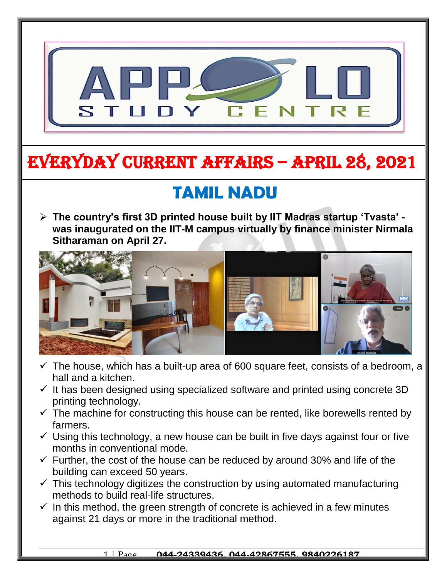

## EVERYDAY CURRENT AFFAIRS – APRIL 28, 2021

-

### **TAMIL NADU**

 **The country's first 3D printed house built by IIT Madras startup 'Tvasta' was inaugurated on the IIT-M campus virtually by finance minister Nirmala Sitharaman on April 27.**  $\overline{\phantom{a}}$ 



- $\checkmark$  The house, which has a built-up area of 600 square feet, consists of a bedroom, a hall and a kitchen.
- $\checkmark$  It has been designed using specialized software and printed using concrete 3D printing technology.
- $\checkmark$  The machine for constructing this house can be rented, like borewells rented by farmers.
- $\checkmark$  Using this technology, a new house can be built in five days against four or five months in conventional mode.
- $\checkmark$  Further, the cost of the house can be reduced by around 30% and life of the building can exceed 50 years.
- $\checkmark$  This technology digitizes the construction by using automated manufacturing methods to build real-life structures.
- $\checkmark$  In this method, the green strength of concrete is achieved in a few minutes against 21 days or more in the traditional method.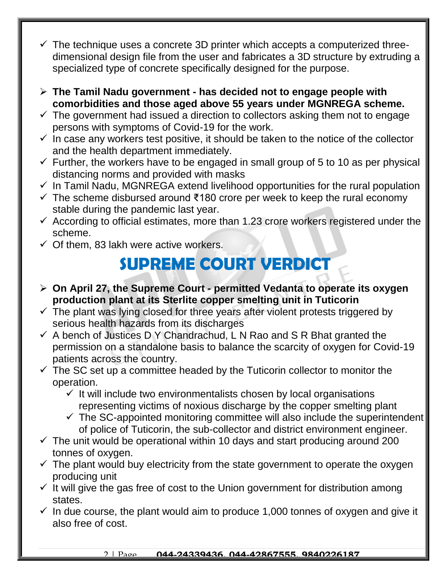- $\checkmark$  The technique uses a concrete 3D printer which accepts a computerized threedimensional design file from the user and fabricates a 3D structure by extruding a specialized type of concrete specifically designed for the purpose.
- **The Tamil Nadu government - has decided not to engage people with comorbidities and those aged above 55 years under MGNREGA scheme.**
- $\checkmark$  The government had issued a direction to collectors asking them not to engage persons with symptoms of Covid-19 for the work.
- $\checkmark$  In case any workers test positive, it should be taken to the notice of the collector and the health department immediately.
- $\checkmark$  Further, the workers have to be engaged in small group of 5 to 10 as per physical distancing norms and provided with masks
- $\checkmark$  In Tamil Nadu, MGNREGA extend livelihood opportunities for the rural population
- $\checkmark$  The scheme disbursed around ₹180 crore per week to keep the rural economy stable during the pandemic last year.
- $\checkmark$  According to official estimates, more than 1.23 crore workers registered under the scheme.
- $\checkmark$  Of them, 83 lakh were active workers.

### **SUPREME COURT VERDICT**

- **On April 27, the Supreme Court - permitted Vedanta to operate its oxygen production plant at its Sterlite copper smelting unit in Tuticorin**
- $\checkmark$  The plant was lying closed for three years after violent protests triggered by serious health hazards from its discharges
- $\checkmark$  A bench of Justices D Y Chandrachud, L N Rao and S R Bhat granted the permission on a standalone basis to balance the scarcity of oxygen for Covid-19 patients across the country.
- $\checkmark$  The SC set up a committee headed by the Tuticorin collector to monitor the operation.
	- $\checkmark$  It will include two environmentalists chosen by local organisations representing victims of noxious discharge by the copper smelting plant
	- $\checkmark$  The SC-appointed monitoring committee will also include the superintendent of police of Tuticorin, the sub-collector and district environment engineer.
- $\checkmark$  The unit would be operational within 10 days and start producing around 200 tonnes of oxygen.
- $\checkmark$  The plant would buy electricity from the state government to operate the oxygen producing unit
- $\checkmark$  It will give the gas free of cost to the Union government for distribution among states.
- $\checkmark$  In due course, the plant would aim to produce 1,000 tonnes of oxygen and give it also free of cost.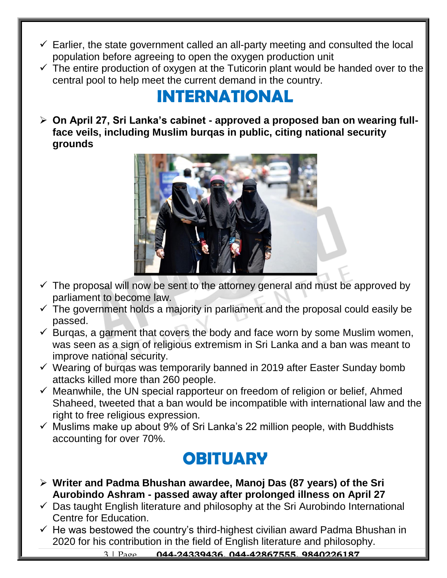- $\checkmark$  Earlier, the state government called an all-party meeting and consulted the local population before agreeing to open the oxygen production unit
- $\checkmark$  The entire production of oxygen at the Tuticorin plant would be handed over to the central pool to help meet the current demand in the country.

# **INTERNATIONAL**

 **On April 27, Sri Lanka's cabinet - approved a proposed ban on wearing fullface veils, including Muslim burqas in public, citing national security grounds**



- $\checkmark$  The proposal will now be sent to the attorney general and must be approved by parliament to become law.
- $\checkmark$  The government holds a majority in parliament and the proposal could easily be passed.
- $\checkmark$  Burgas, a garment that covers the body and face worn by some Muslim women, was seen as a sign of religious extremism in Sri Lanka and a ban was meant to improve national security.
- $\checkmark$  Wearing of burgas was temporarily banned in 2019 after Easter Sunday bomb attacks killed more than 260 people.
- $\checkmark$  Meanwhile, the UN special rapporteur on freedom of religion or belief, Ahmed Shaheed, tweeted that a ban would be incompatible with international law and the right to free religious expression.
- $\checkmark$  Muslims make up about 9% of Sri Lanka's 22 million people, with Buddhists accounting for over 70%.

#### **OBITUARY**

- **Writer and Padma Bhushan awardee, Manoj Das (87 years) of the Sri Aurobindo Ashram - passed away after prolonged illness on April 27**
- $\checkmark$  Das taught English literature and philosophy at the Sri Aurobindo International Centre for Education.
- $\checkmark$  He was bestowed the country's third-highest civilian award Padma Bhushan in 2020 for his contribution in the field of English literature and philosophy.